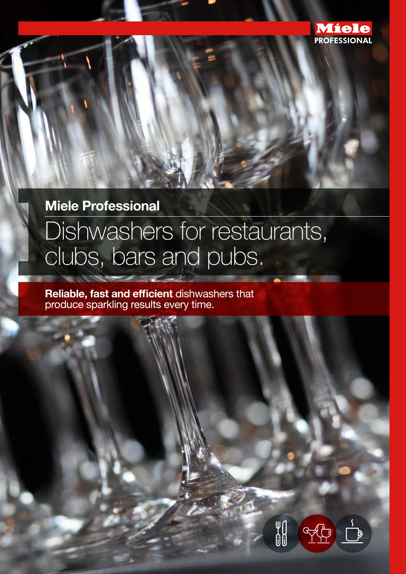

## **Miele Professional**

# Dishwashers for restaurants, clubs, bars and pubs.

**Reliable, fast and efficient** dishwashers that produce sparkling results every time.

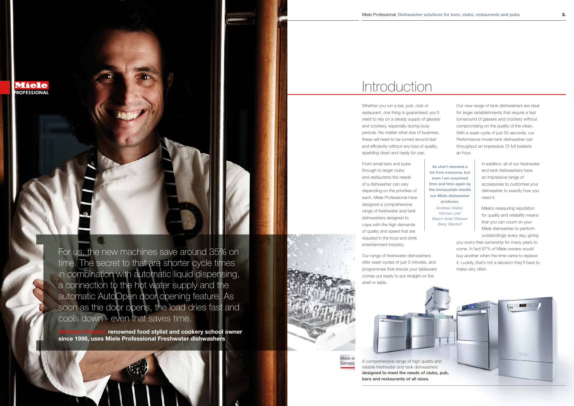

reliable freshwater and tank dishwashers **bars and restaurants of all sizes.**

For us, the new machines save around 35% on time. The secret to that are shorter cycle times in combination with automatic liquid dispensing, a connection to the hot water supply and the automatic AutoOpen door opening feature. As soon as the door opens, the load dries fast and cools down - even that saves time.

Whether you run a bar, pub, club or restaurant, one thing is guaranteed; you'll need to rely on a steady supply of glasses and crockery, especially during busy periods. No matter what size of business, these will need to be turned around fast and efficiently without any loss of quality; sparkling clean and ready for use.

From small bars and pubs through to larger clubs and restaurants the needs of a dishwasher can vary depending on the priorities of each. Miele Professional have designed a comprehensive range of freshwater and tank dishwashers designed to cope with the high demands of quality and speed that are required in the food and drink entertainment industry.

renowned food stylist and cookery school owner **since 1998, uses Miele Professional Freshwater dishwashers**





# **Introduction**

Our range of freshwater dishwashers offer wash cycles of just 5 minutes, and programmes that ensure your tableware comes out ready to put straight on the shelf or table.

Our new range of tank dishwashers are ideal for larger establishments that require a fast turnaround of glasses and crockery without compromising on the quality of the clean. With a wash cycle of just 50 seconds, our Performance model tank dishwasher can throughput an impressive 72 full baskets an hour.

> In addition, all of our freshwater and tank dishwashers have an impressive range of accessories to customise your dishwasher to exactly how you need it.

Miele's reassuring reputation for quality and reliability means that you can count on your Miele dishwasher to perform outstandingly every day, giving

you worry-free ownership for many years to come. In fact 97% of Miele owners would buy another when the time came to replace it. Luckily, that's not a decision they'll have to make very often.

**As chef I demand a lot from everyone, but even I am surprised time and time again by the immaculate results our Miele dishwasher produces.**

*Andreas Walter, Kitchen chef Beach Hotel Weisser Berg, Mardorf*

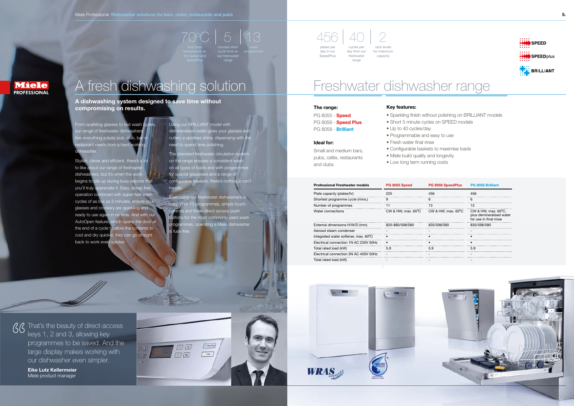From sparkling glasses to fast wash cy our range of freshwater dishwashers has everything a busy pub, club, bar or taurant needs from a hard working dishwasher.

Stylish, clever and efficient, there's a lot to like about our range of freshwate dishwashers, but it's when the work begins to pile up during busy periods that you'll truly appreciate it. Easy, stress-free operation combined with super-fast wash cycles of as low as 5 minutes, ensure your glasses and crockery are sparkling and ready to use again in no time. And with our AutoOpen feature, which opens the door at the end of a cycle to allow the contents to cool and dry quicker, they can go straight back to work even quicker.

Using our BRILLIANT model with demineralised water gives your glasses and cutlery a spotless shine, dispensing with the need to spend time polishing. The standard freshwater circulation on the range ensures a consistent was on all types of loads and with program for special glassware and a range of configurable baskets, there's nothing it can't handle Even using our freshwater dishwashers is

70 6 13 456 40 2 plates per day in our SpeedPlus cycles pe day from our freshwater

easy. With 13 programmes, simple touchand three direct-access push uttons for the most commonly used wash programmes, operating a Miele dishwasher is fuss-free.

# A fresh dishwashing solution

**SpeedPlus** 

# Freshwater dishwasher range

## **Key features:**

• Sparkling finish without polishing on BRILLIANT models • Short 5 minute cycles on SPEED models

 $\sqrt{36}$  That's the beauty of direct-access keys 1, 2 and 3, allowing key programmes to be saved. And the large display makes working with our dishwasher even simpler.

- 
- 
- Up to 40 cycles/day
- Programmable and easy to use
- Fresh water final rinse
- 
- Miele build quality and longevity
- Low long term running costs

• Configurable baskets to maximise loads



### **The range:**

PG 8055 - **Speed** PG 8056 - **Speed Plus** PG 8058 - **Brilliant**

**Ideal for:**

Small and medium bars, pubs, cafés, restaurants

and clubs

## **A dishwashing system designed to save time without compromising on results.**

range

range

programmes

rack levels for maximum capacity

| <b>Professional Freshwater models</b>             | PG 8055 Speed                | <b>PG 8056 SpeedPlus</b>     | <b>PG 8058 Brilliant</b>                                                            |
|---------------------------------------------------|------------------------------|------------------------------|-------------------------------------------------------------------------------------|
| Plate capacity (plates/hr)                        | 225                          | 456                          | 456                                                                                 |
| Shortest programme cycle (mins.)                  | 9                            | 6                            | 6                                                                                   |
| Number of programmes                              | 11                           | 13                           | 13                                                                                  |
| Water connections                                 | CW & HW, max. $65^{\circ}$ C | CW & HW, max. $65^{\circ}$ C | CW & HW, max. $65^{\circ}$ C,<br>plus demineralised water<br>for use in final rinse |
| External dimensions H/W/D (mm)                    | 820-880/598/580              | 835/598/580                  | 835/598/580                                                                         |
| Aerosol steam condenser                           |                              |                              |                                                                                     |
| Integrated water softener, max. 60 <sup>°</sup> C |                              |                              |                                                                                     |
| Electrical connection 1N AC 230V 50Hz             |                              |                              |                                                                                     |
| Total rated load (kW)                             | 5.9                          | 5.9                          | 5.9                                                                                 |
| Electrical connection 3N AC 400V 50Hz             |                              |                              |                                                                                     |
| Total rated load (kW)                             |                              |                              |                                                                                     |

| <b>Professional Freshwater models</b> | PG 8055 Speed                | <b>PG 8056 SpeedPlus</b>     | <b>PG 8058 Brilliant</b>                                                            |
|---------------------------------------|------------------------------|------------------------------|-------------------------------------------------------------------------------------|
| Plate capacity (plates/hr)            | 225                          | 456                          | 456                                                                                 |
| Shortest programme cycle (mins.)      | 9                            | 6                            | 6                                                                                   |
| Number of programmes                  | 11                           | 13                           | 13                                                                                  |
| Water connections                     | CW & HW, max. $65^{\circ}$ C | CW & HW, max. $65^{\circ}$ C | CW & HW, max. $65^{\circ}$ C,<br>plus demineralised water<br>for use in final rinse |
| External dimensions H/W/D (mm)        | 820-880/598/580              | 835/598/580                  | 835/598/580                                                                         |
| Aerosol steam condenser               |                              |                              |                                                                                     |
| Integrated water softener, max. 60°C  |                              |                              |                                                                                     |
| Electrical connection 1N AC 230V 50Hz |                              |                              |                                                                                     |
| Total rated load (kW)                 | 5.9                          | 5.9                          | 5.9                                                                                 |
| Electrical connection 3N AC 400V 50Hz |                              |                              |                                                                                     |
| Total rated load (kW)                 |                              |                              |                                                                                     |

**Eike Lutz Kellermeier** Miele product manager







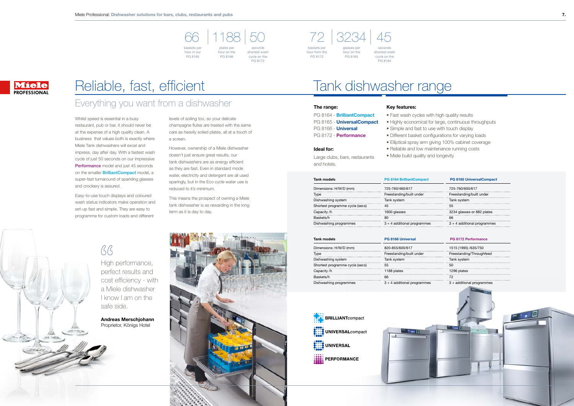## Everything you want from a dishwasher

Whilst speed is essential in a busy restaurant, pub or bar, it should never be at the expense of a high quality clean. A business that values both is exactly where Miele Tank dishwashers will excel and impress, day after day. With a fastest wash cycle of just 50 seconds on our impressive Performance model and just 45 seconds on the smaller **BrilliantCompact** model, a super-fast turnaround of sparkling glasses and crockery is assured.

Easy-to-use touch displays and coloured wash status indicators make operation and set-up fast and simple. They are easy to programme for custom loads and different

levels of soiling too, so your delicate champagne flutes are treated with the same care as heavily soiled plates, all at a touch of a screen.

However, ownership of a Miele dishwasher doesn't just ensure great results, our tank dishwashers are as energy efficient as they are fast. Even in standard mode water, electricity and detergent are all used sparingly, but in the Eco cycle water use is reduced to it's minimum.

baskets pe hour in our

This means the prospect of owning a Miele tank dishwasher is as rewarding in the long term as it is day to day.

# $BB$

# Reliable, fast, efficient

High performance, perfect results and cost efficiency - with a Miele dishwasher I know I am on the safe side.

**Andreas Merschjohann** Proprietor, Königs Hotel



# Tank dishwasher range

### **Key features:**

## **The range:**

PG 8164 - **BrilliantCompact** PG 8165 - **UniversalCompact** PG 8166 - **Universal** PG 8172 - **Performance**

**Ideal for:**

- 
- 
- 
- 
- 
- 
- Large clubs, bars, restaurants

and hotels.

66 1188 50 72 3234 45

PG 8165



hour on the PG 8166

baskets per

PG 8172

hour from the glasses per hour on the PG 8165

seconds shortest wash cycle on the PG 8164

## **Miele PROFESSIONAL**

and hang.

seconds shortest wash cycle on the PG 8172

| Tank models                     | PG 8166 Universal             | PG 8172 Performance       |
|---------------------------------|-------------------------------|---------------------------|
| Dimensions: H/W/D (mm)          | 820-855/600/617               | 1515 (1995) /635/750      |
| Type                            | Freestanding/built under      | Freestanding/Throughfeed  |
| Dishwashing system              | Tank system                   | Tank system               |
| Shortest programme cycle (secs) | 55                            | 50                        |
| Capacity /h                     | 1188 plates                   | 1296 plates               |
| Baskets/h                       | 66                            | 72                        |
| Dishwashing programmes          | $3 + 4$ additional programmes | 3 + additional programmes |





- Fast wash cycles with high quality results
- Highly economical for large, continuous throughputs
- Simple and fast to use with touch display
- Different basket configurations for varying loads
- Elliptical spray arm giving 100% cabinet coverage
- Reliable and low maintenance running costs
- Miele build quality and longevity

| Tank models                     | <b>PG 8164 BrilliantCompact</b> | <b>PG 8165 UniversalCompact</b> |  |
|---------------------------------|---------------------------------|---------------------------------|--|
| Dimensions: H/W/D (mm)          | 725-760/460/617                 | 725-760/600/617                 |  |
| Type                            | Freestanding/built under        | Freestanding/built under        |  |
| Dishwashing system              | Tank system                     | Tank system                     |  |
| Shortest programme cycle (secs) | 45                              | 55                              |  |
| Capacity /h                     | 1600 glasses                    | 3234 glasses or 882 plates      |  |
| Baskets/h                       | 80                              | 66                              |  |
| Dishwashing programmes          | $3 + 4$ additional programmes   | $3 + 4$ additional programmes   |  |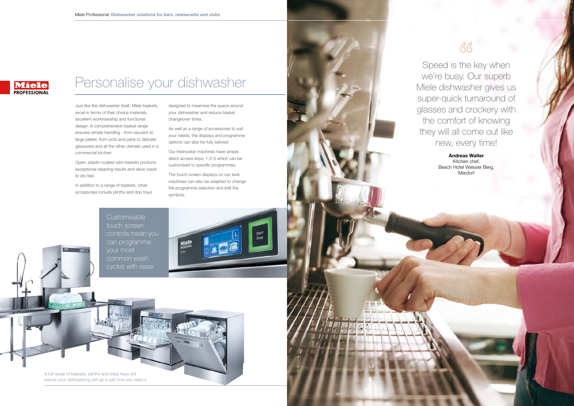**Customisable** touch screen controls mean you can programme your most common wash cycles with ease.



 $BB$ Speed is the key when we're busy. Our superb Miele dishwasher gives us super-quick turnaround of glasses and crockery with the comfort of knowing they will all come out like new, every time! **Andreas Walter** Kitchen chef, Beach Hotel Weisser Berg, Mardorf

# Personalise your dishwasher

Just like the dishwasher itself, Miele baskets excel in terms of their choice materials, excellent workmanship and functional design. A comprehensive basket range ensures simple handling - from saucers to large plates, from pots and pans to delicate glassware and all the other utensils used in a commercial kitchen.

Open, plastic-coated wire baskets produce exceptional cleaning results and allow loads to dry fast.

In addition to a range of baskets, other accessories include plinths and drip trays designed to maximise the space around your dishwasher and reduce basket changeover times.

As well as a range of accessories to suit your needs, the displays and programme options can also be fully tailored.

Our freshwater machines have simple direct access keys; 1-2-3 which can be customised to specific programmes.

The touch screen displays on our tank machines can also be adapted to change the programme selection and edit the symbols.



A full range of baskets, plinths and drips trays will ensure your dishwashing set-up is just how you need it.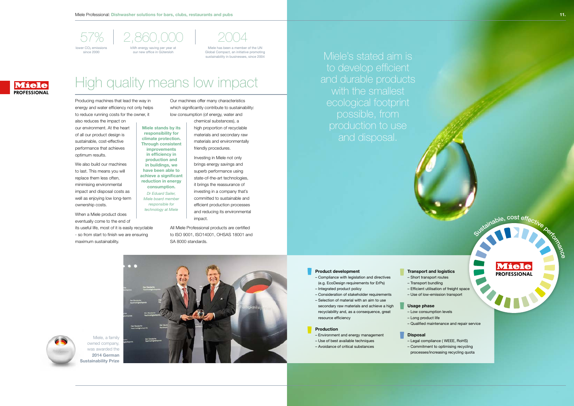

## – Compliance with legislation and directives (e.g. EcoDesign requirements for ErPs)

– Integrated product policy

- 
- 
- Consideration of stakeholder requirements – Selection of material with an aim to use
- secondary raw materials and achieve a high recyclability and, as a consequence, great resource efficiency

### **Production**

- Environment and energy management
- Use of best available techniques
- Avoidance of critical substances



- Short transport routes – Transport bundling – Efficient utilisation of freight space – Use of low-emission transport
- 
- **Usage phase**
- Low consumption levels

– Qualified maintenance and repair service

**Miele PROFESSIONAL** 

Sustainable, cost effective person

We also build our machines to last. This means you will replace them less often, minimising environmental impact and disposal costs as well as enjoying low long-term ownership costs.

- Long product life
- **Disposal**
- Legal compliance ( WEEE, RoHS) – Commitment to optimising recycling processes/increasing recycling quota

Miele's stated aim is to develop efficient and durable products

Producing machines that lead the way in energy and water efficiency not only helps to reduce running costs for the owner, it

also reduces the impact on our environment. At the heart of all our product design is sustainable, cost-effective performance that achieves optimum results.

When a Miele product does eventually come to the end of its useful life, most of it is easily recyclable - so from start to finish we are ensuring maximum sustainability.

Our machines offer many characteristics which significantly contribute to sustainability: low consumption (of energy, water and

> chemical substances), a high proportion of recyclable materials and secondary raw materials and environmentally friendly procedures.

Investing in Miele not only brings energy savings and superb performance using state-of-the-art technologies, it brings the reassurance of investing in a company that's committed to sustainable and efficient production processes and reducing its environmental impact.

All Miele Professional products are certified to ISO 9001, ISO14001, OHSAS 18001 and SA 8000 standards.

# High quality means low impact

**Miele stands by its responsibility for climate protection. Through consistent improvements in efficiency in production and in buildings, we have been able to achieve a significant reduction in energy consumption.** *Dr Eduard Sailer, Miele board member responsible for technology at Miele*

Miele has been a member of the UN Global Compact, an initiative promoting sustainability in businesses, since 2004

## **Miele PROFESSIONAL**

Miele, a family owned company, was awarded the **2014 German Sustainability Prize**





57% 2,860,000 2004 kWh energy saving per year at our new office in Gütersloh